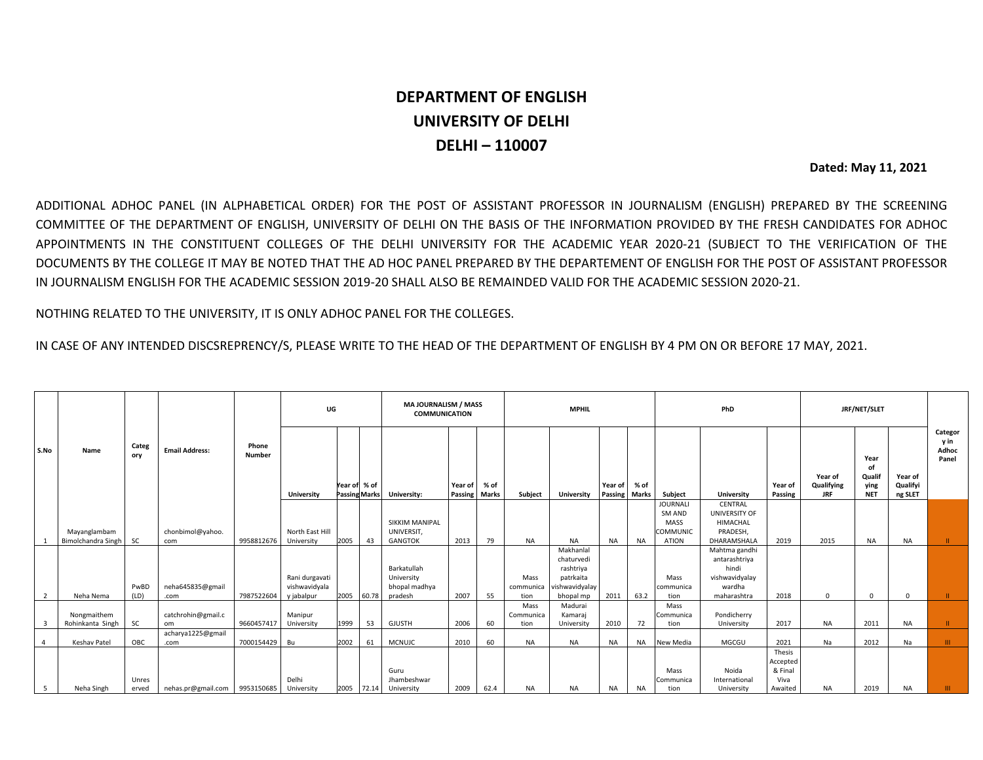## **DEPARTMENT OF ENGLISH UNIVERSITY OF DELHI DELHI – 110007**

 **Dated: May 11, 2021**

ADDITIONAL ADHOC PANEL (IN ALPHABETICAL ORDER) FOR THE POST OF ASSISTANT PROFESSOR IN JOURNALISM (ENGLISH) PREPARED BY THE SCREENING COMMITTEE OF THE DEPARTMENT OF ENGLISH, UNIVERSITY OF DELHI ON THE BASIS OF THE INFORMATION PROVIDED BY THE FRESH CANDIDATES FOR ADHOC APPOINTMENTS IN THE CONSTITUENT COLLEGES OF THE DELHI UNIVERSITY FOR THE ACADEMIC YEAR 2020-21 (SUBJECT TO THE VERIFICATION OF THE DOCUMENTS BY THE COLLEGE IT MAY BE NOTED THAT THE AD HOC PANEL PREPARED BY THE DEPARTEMENT OF ENGLISH FOR THE POST OF ASSISTANT PROFESSOR IN JOURNALISM ENGLISH FOR THE ACADEMIC SESSION 2019-20 SHALL ALSO BE REMAINDED VALID FOR THE ACADEMIC SESSION 2020-21.

NOTHING RELATED TO THE UNIVERSITY, IT IS ONLY ADHOC PANEL FOR THE COLLEGES.

IN CASE OF ANY INTENDED DISCSREPRENCY/S, PLEASE WRITE TO THE HEAD OF THE DEPARTMENT OF ENGLISH BY 4 PM ON OR BEFORE 17 MAY, 2021.

|                | Name                            | Categ<br>ory   | <b>Email Address:</b>    | Phone<br><b>Number</b> | UG                    |               |               | <b>MAJOURNALISM / MASS</b><br><b>COMMUNICATION</b> |                            |      | <b>MPHIL</b>      |                         |                            |           | PhD                |                             |                           | JRF/NET/SLET                        |                                            |                                |                                   |
|----------------|---------------------------------|----------------|--------------------------|------------------------|-----------------------|---------------|---------------|----------------------------------------------------|----------------------------|------|-------------------|-------------------------|----------------------------|-----------|--------------------|-----------------------------|---------------------------|-------------------------------------|--------------------------------------------|--------------------------------|-----------------------------------|
| S.No           |                                 |                |                          |                        | <b>University</b>     | Year of  % of | Passing Marks | University:                                        | Year of<br>Passing   Marks | % of | Subject           | <b>University</b>       | Year of<br>Passing   Marks | % of      | Subject            | University                  | Year of<br><b>Passing</b> | Year of<br>Qualifying<br><b>JRF</b> | Year<br>of<br>Qualif<br>ying<br><b>NET</b> | Year of<br>Qualifyi<br>ng SLET | Categor<br>y in<br>Adhoc<br>Panel |
|                |                                 |                |                          |                        |                       |               |               |                                                    |                            |      |                   |                         |                            |           | <b>JOURNALI</b>    | CENTRAL                     |                           |                                     |                                            |                                |                                   |
|                |                                 |                |                          |                        |                       |               |               | <b>SIKKIM MANIPAL</b>                              |                            |      |                   |                         |                            |           | SM AND<br>MASS     | UNIVERSITY OF<br>HIMACHAL   |                           |                                     |                                            |                                |                                   |
|                | Mayanglambam                    |                | chonbimol@yahoo.         |                        | North East Hill       |               |               | UNIVERSIT,                                         |                            |      |                   |                         |                            |           | <b>COMMUNIC</b>    | PRADESH.                    |                           |                                     |                                            |                                |                                   |
|                | Bimolchandra Singh              | <b>SC</b>      | com                      | 9958812676             | University            | 2005          | 43            | <b>GANGTOK</b>                                     | 2013                       | 79   | <b>NA</b>         | <b>NA</b>               | <b>NA</b>                  | NA        | <b>ATION</b>       | DHARAMSHALA                 | 2019                      | 2015                                | <b>NA</b>                                  | <b>NA</b>                      | ш.                                |
|                |                                 |                |                          |                        |                       |               |               |                                                    |                            |      |                   | Makhanlal               |                            |           |                    | Mahtma gandhi               |                           |                                     |                                            |                                |                                   |
|                |                                 |                |                          |                        |                       |               |               | Barkatullah                                        |                            |      |                   | chaturvedi<br>rashtriya |                            |           |                    | antarashtriya<br>hindi      |                           |                                     |                                            |                                |                                   |
|                |                                 |                |                          |                        | Rani durgavati        |               |               | University                                         |                            |      | Mass              | patrkaita               |                            |           | Mass               | vishwavidyalay              |                           |                                     |                                            |                                |                                   |
|                |                                 | PwBD           | neha645835@gmail         |                        | vishwavidyala         |               |               | bhopal madhya                                      |                            |      | communica         | vishwavidyalay          |                            |           | communica          | wardha                      |                           |                                     |                                            |                                |                                   |
| $\overline{2}$ | Neha Nema                       | (LD)           | .com                     | 7987522604             | y jabalpur            | 2005          | 60.78         | pradesh                                            | 2007                       | 55   | tion              | bhopal mp               | 2011                       | 63.2      | tion               | maharashtra                 | 2018                      | $\Omega$                            | $\Omega$                                   | $\Omega$                       | ш                                 |
|                |                                 |                |                          |                        |                       |               |               |                                                    |                            |      | Mass              | Madurai                 |                            |           | Mass               |                             |                           |                                     |                                            |                                |                                   |
|                | Nongmaithem<br>Rohinkanta Singh | <b>SC</b>      | catchrohin@gmail.c<br>om | 9660457417             | Manipur<br>University | 1999          | 53            | <b>GJUSTH</b>                                      | 2006                       | 60   | Communica<br>tion | Kamaraj<br>University   | 2010                       | 72        | lCommunica<br>tion | Pondicherry<br>University   | 2017                      | <b>NA</b>                           | 2011                                       | <b>NA</b>                      | Ш.                                |
|                |                                 |                | acharya1225@gmail        |                        |                       |               |               |                                                    |                            |      |                   |                         |                            |           |                    |                             |                           |                                     |                                            |                                |                                   |
|                | Keshav Patel                    | OBC            | .com                     | 7000154429 Bu          |                       | 2002          | 61            | <b>MCNUJC</b>                                      | 2010                       | 60   | <b>NA</b>         | <b>NA</b>               | NA                         | <b>NA</b> | New Media          | MGCGU                       | 2021                      | Na                                  | 2012                                       | Na                             | THE.                              |
|                |                                 |                |                          |                        |                       |               |               |                                                    |                            |      |                   |                         |                            |           |                    |                             | Thesis                    |                                     |                                            |                                |                                   |
|                |                                 |                |                          |                        |                       |               |               |                                                    |                            |      |                   |                         |                            |           |                    |                             | Accepted                  |                                     |                                            |                                |                                   |
|                |                                 |                |                          |                        |                       |               |               | Guru                                               |                            |      |                   |                         |                            |           | Mass               | Noida                       | & Final                   |                                     |                                            |                                |                                   |
| 5              | Neha Singh                      | Unres<br>erved | nehas.pr@gmail.com       | 9953150685             | Delhi<br>University   | 2005 72.14    |               | Jhambeshwar<br>University                          | 2009                       | 62.4 | <b>NA</b>         | NA.                     | <b>NA</b>                  | <b>NA</b> | Communica<br>tion  | International<br>University | Viva<br>Awaited           | NA.                                 | 2019                                       | <b>NA</b>                      |                                   |
|                |                                 |                |                          |                        |                       |               |               |                                                    |                            |      |                   |                         |                            |           |                    |                             |                           |                                     |                                            |                                |                                   |